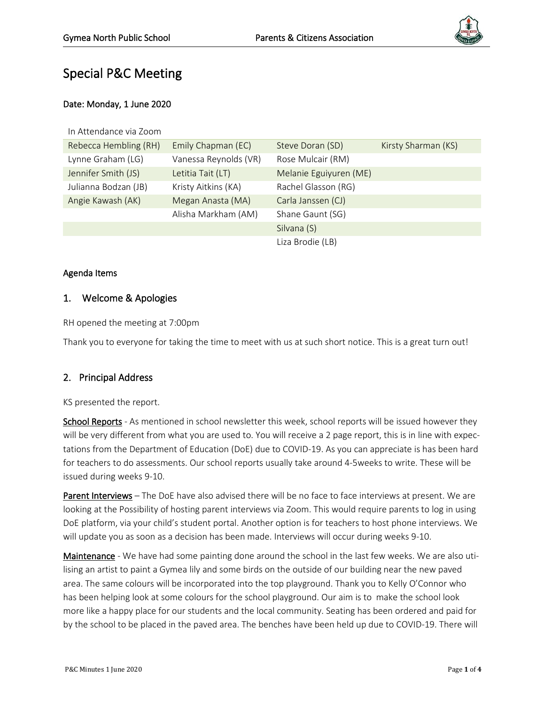

# Special P&C Meeting

#### Date: Monday, 1 June 2020

| In Attendance via Zoom |                       |                        |                     |
|------------------------|-----------------------|------------------------|---------------------|
| Rebecca Hembling (RH)  | Emily Chapman (EC)    | Steve Doran (SD)       | Kirsty Sharman (KS) |
| Lynne Graham (LG)      | Vanessa Reynolds (VR) | Rose Mulcair (RM)      |                     |
| Jennifer Smith (JS)    | Letitia Tait (LT)     | Melanie Eguiyuren (ME) |                     |
| Julianna Bodzan (JB)   | Kristy Aitkins (KA)   | Rachel Glasson (RG)    |                     |
| Angie Kawash (AK)      | Megan Anasta (MA)     | Carla Janssen (CJ)     |                     |
|                        | Alisha Markham (AM)   | Shane Gaunt (SG)       |                     |
|                        |                       | Silvana (S)            |                     |
|                        |                       | Liza Brodie (LB)       |                     |

#### Agenda Items

### 1. Welcome & Apologies

RH opened the meeting at 7:00pm

Thank you to everyone for taking the time to meet with us at such short notice. This is a great turn out!

## 2. Principal Address

#### KS presented the report.

School Reports - As mentioned in school newsletter this week, school reports will be issued however they will be very different from what you are used to. You will receive a 2 page report, this is in line with expectations from the Department of Education (DoE) due to COVID-19. As you can appreciate is has been hard for teachers to do assessments. Our school reports usually take around 4-5weeks to write. These will be issued during weeks 9-10.

Parent Interviews – The DoE have also advised there will be no face to face interviews at present. We are looking at the Possibility of hosting parent interviews via Zoom. This would require parents to log in using DoE platform, via your child's student portal. Another option is for teachers to host phone interviews. We will update you as soon as a decision has been made. Interviews will occur during weeks 9-10.

Maintenance - We have had some painting done around the school in the last few weeks. We are also utilising an artist to paint a Gymea lily and some birds on the outside of our building near the new paved area. The same colours will be incorporated into the top playground. Thank you to Kelly O'Connor who has been helping look at some colours for the school playground. Our aim is to make the school look more like a happy place for our students and the local community. Seating has been ordered and paid for by the school to be placed in the paved area. The benches have been held up due to COVID-19. There will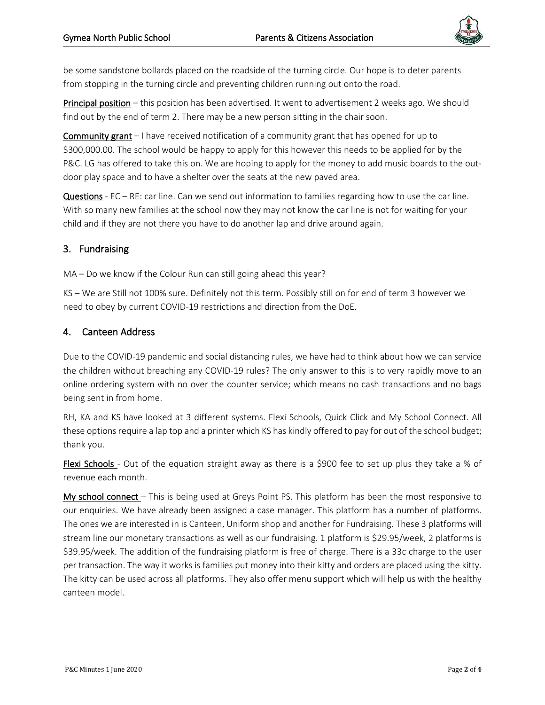

be some sandstone bollards placed on the roadside of the turning circle. Our hope is to deter parents from stopping in the turning circle and preventing children running out onto the road.

Principal position – this position has been advertised. It went to advertisement 2 weeks ago. We should find out by the end of term 2. There may be a new person sitting in the chair soon.

Community grant – I have received notification of a community grant that has opened for up to \$300,000.00. The school would be happy to apply for this however this needs to be applied for by the P&C. LG has offered to take this on. We are hoping to apply for the money to add music boards to the outdoor play space and to have a shelter over the seats at the new paved area.

Questions - EC – RE: car line. Can we send out information to families regarding how to use the car line. With so many new families at the school now they may not know the car line is not for waiting for your child and if they are not there you have to do another lap and drive around again.

#### 3. Fundraising

MA – Do we know if the Colour Run can still going ahead this year?

KS – We are Still not 100% sure. Definitely not this term. Possibly still on for end of term 3 however we need to obey by current COVID-19 restrictions and direction from the DoE.

#### 4. Canteen Address

Due to the COVID-19 pandemic and social distancing rules, we have had to think about how we can service the children without breaching any COVID-19 rules? The only answer to this is to very rapidly move to an online ordering system with no over the counter service; which means no cash transactions and no bags being sent in from home.

RH, KA and KS have looked at 3 different systems. Flexi Schools, Quick Click and My School Connect. All these options require a lap top and a printer which KS has kindly offered to pay for out of the school budget; thank you.

Flexi Schools - Out of the equation straight away as there is a \$900 fee to set up plus they take a % of revenue each month.

My school connect – This is being used at Greys Point PS. This platform has been the most responsive to our enquiries. We have already been assigned a case manager. This platform has a number of platforms. The ones we are interested in is Canteen, Uniform shop and another for Fundraising. These 3 platforms will stream line our monetary transactions as well as our fundraising. 1 platform is \$29.95/week, 2 platforms is \$39.95/week. The addition of the fundraising platform is free of charge. There is a 33c charge to the user per transaction. The way it works is families put money into their kitty and orders are placed using the kitty. The kitty can be used across all platforms. They also offer menu support which will help us with the healthy canteen model.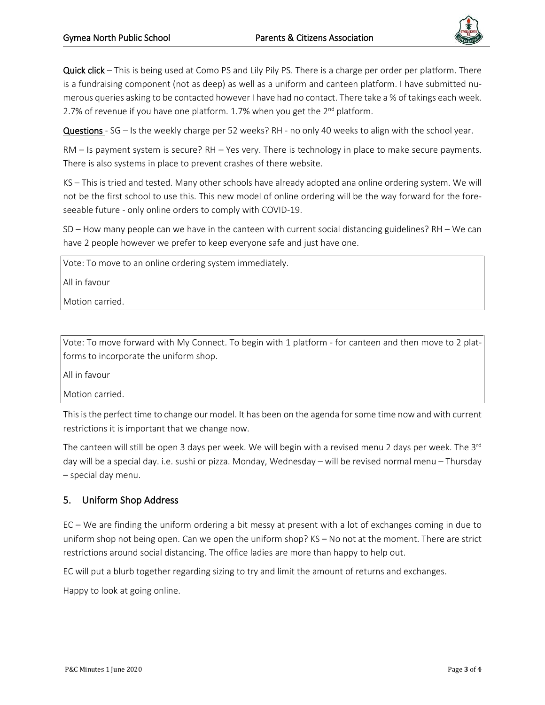

Quick click – This is being used at Como PS and Lily Pily PS. There is a charge per order per platform. There is a fundraising component (not as deep) as well as a uniform and canteen platform. I have submitted numerous queries asking to be contacted however I have had no contact. There take a % of takings each week. 2.7% of revenue if you have one platform. 1.7% when you get the 2<sup>nd</sup> platform.

Questions - SG – Is the weekly charge per 52 weeks? RH - no only 40 weeks to align with the school year.

RM – Is payment system is secure? RH – Yes very. There is technology in place to make secure payments. There is also systems in place to prevent crashes of there website.

KS – This is tried and tested. Many other schools have already adopted ana online ordering system. We will not be the first school to use this. This new model of online ordering will be the way forward for the foreseeable future - only online orders to comply with COVID-19.

SD – How many people can we have in the canteen with current social distancing guidelines? RH – We can have 2 people however we prefer to keep everyone safe and just have one.

Vote: To move to an online ordering system immediately.

All in favour

Motion carried.

Vote: To move forward with My Connect. To begin with 1 platform - for canteen and then move to 2 platforms to incorporate the uniform shop.

All in favour

Motion carried.

Thisisthe perfect time to change our model. It has been on the agenda forsome time now and with current restrictions it is important that we change now.

The canteen will still be open 3 days per week. We will begin with a revised menu 2 days per week. The 3<sup>rd</sup> day will be a special day. i.e. sushi or pizza. Monday, Wednesday – will be revised normal menu – Thursday – special day menu.

#### 5. Uniform Shop Address

EC – We are finding the uniform ordering a bit messy at present with a lot of exchanges coming in due to uniform shop not being open. Can we open the uniform shop? KS – No not at the moment. There are strict restrictions around social distancing. The office ladies are more than happy to help out.

EC will put a blurb together regarding sizing to try and limit the amount of returns and exchanges.

Happy to look at going online.